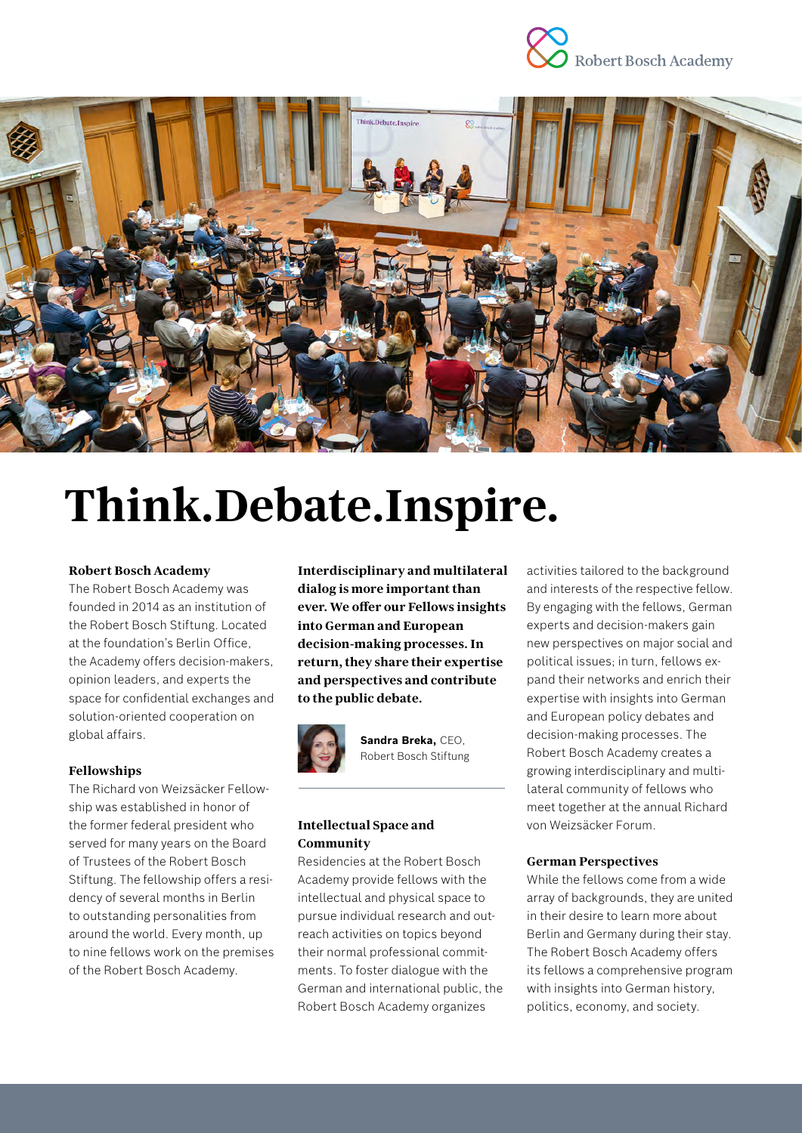



# **Think.Debate.Inspire.**

#### **Robert Bosch Academy**

The Robert Bosch Academy was founded in 2014 as an institution of the Robert Bosch Stiftung. Located at the foundation's Berlin Office, the Academy offers decision-makers, opinion leaders, and experts the space for confidential exchanges and solution-oriented cooperation on global affairs.

#### **Fellowships**

The Richard von Weizsäcker Fellowship was established in honor of the former federal president who served for many years on the Board of Trustees of the Robert Bosch Stiftung. The fellowship offers a residency of several months in Berlin to outstanding personalities from around the world. Every month, up to nine fellows work on the premises of the Robert Bosch Academy.

**Interdisciplinary and multilateral dialog is more important than ever. We offer our Fellows insights into German and European decision-making processes. In return, they share their expertise and perspectives and contribute to the public debate.**



**Sandra Breka,** CEO, Robert Bosch Stiftung

## **Intellectual Space and Community**

Residencies at the Robert Bosch Academy provide fellows with the intellectual and physical space to pursue individual research and outreach activities on topics beyond their normal professional commitments. To foster dialogue with the German and international public, the Robert Bosch Academy organizes

activities tailored to the background and interests of the respective fellow. By engaging with the fellows, German experts and decision-makers gain new perspectives on major social and political issues; in turn, fellows expand their networks and enrich their expertise with insights into German and European policy debates and decision-making processes. The Robert Bosch Academy creates a growing interdisciplinary and multilateral community of fellows who meet together at the annual Richard von Weizsäcker Forum.

#### **German Perspectives**

While the fellows come from a wide array of backgrounds, they are united in their desire to learn more about Berlin and Germany during their stay. The Robert Bosch Academy offers its fellows a comprehensive program with insights into German history, politics, economy, and society.